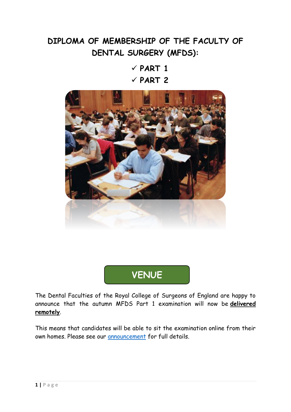# **DIPLOMA OF MEMBERSHIP OF THE FACULTY OF DENTAL SURGERY (MFDS):**

 $\checkmark$  PART 1  $\checkmark$  PART 2



**VENUE**

The Dental Faculties of the Royal College of Surgeons of England are happy to announce that the autumn MFDS Part 1 examination will now be **delivered remotely**.

This means that candidates will be able to sit the examination online from their own homes. Please see our [announcement](https://www.rcseng.ac.uk/dental-faculties/fds/faculty/news/archive/mjdf-and-mfds-part-1-now-online/) for full details.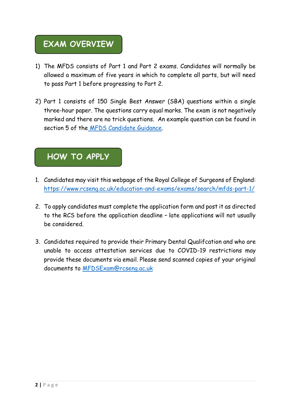## **EXAM OVERVIEW**

- 1) The MFDS consists of Part 1 and Part 2 exams. Candidates will normally be allowed a maximum of five years in which to complete all parts, but will need to pass Part 1 before progressing to Part 2.
- 2) Part 1 consists of 150 Single Best Answer (SBA) questions within a single three-hour paper. The questions carry equal marks. The exam is not negatively marked and there are no trick questions. An example question can be found in section 5 of the [MFDS Candidate Guidance.](https://www.rcseng.ac.uk/-/media/files/rcs/education-and-exams/exams/mfds/mfds-candidate-guidance.pdf)

### **HOW TO APPLY**

- 1. Candidates may visit this webpage of the Royal College of Surgeons of England: <https://www.rcseng.ac.uk/education-and-exams/exams/search/mfds-part-1/>
- 2. To apply candidates must complete the application form and post it as directed to the RCS before the application deadline – late applications will not usually be considered.
- 3. Candidates required to provide their Primary Dental Qualifcation and who are unable to access attestation services due to COVID-19 restrictions may provide these documents via email. Please send scanned copies of your original documents to<MFDSExam@rcseng.ac.uk>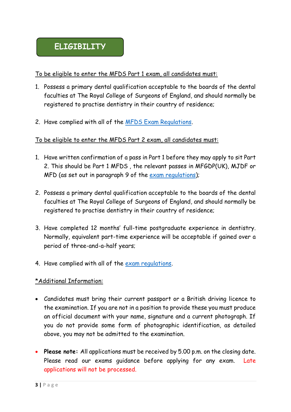#### To be eligible to enter the MFDS Part 1 exam, all candidates must:

- 1. Possess a primary dental qualification acceptable to the boards of the dental faculties at The Royal College of Surgeons of England, and should normally be registered to practise dentistry in their country of residence;
- 2. Have complied with all of the [MFDS Exam Regulations.](file:///C:/Users/user/Downloads/MFDS%20Regulations.pdf)

#### To be eligible to enter the MFDS Part 2 exam, all candidates must:

- 1. Have written confirmation of a pass in Part 1 before they may apply to sit Part 2. This should be Part 1 MFDS , the relevant passes in MFGDP(UK), MJDF or MFD (as set out in paragraph 9 of the [exam regulations\)](https://www.rcseng.ac.uk/-/media/files/rcs/education-and-exams/exams/mfds/mfds-regulations.pdf);
- 2. Possess a primary dental qualification acceptable to the boards of the dental faculties at The Royal College of Surgeons of England, and should normally be registered to practise dentistry in their country of residence;
- 3. Have completed 12 months' full-time postgraduate experience in dentistry. Normally, equivalent part-time experience will be acceptable if gained over a period of three-and-a-half years;
- 4. Have complied with all of the [exam regulations.](https://www.rcseng.ac.uk/-/media/files/rcs/education-and-exams/exams/mfds/mfds-regulations.pdf)

#### \*Additional Information:

- Candidates must bring their current passport or a British driving licence to the examination. If you are not in a position to provide these you must produce an official document with your name, signature and a current photograph. If you do not provide some form of photographic identification, as detailed above, you may not be admitted to the examination.
- **Please note:** All applications must be received by 5.00 p.m. on the closing date. Please read our exams quidance before applying for any exam. Late applications will not be processed.